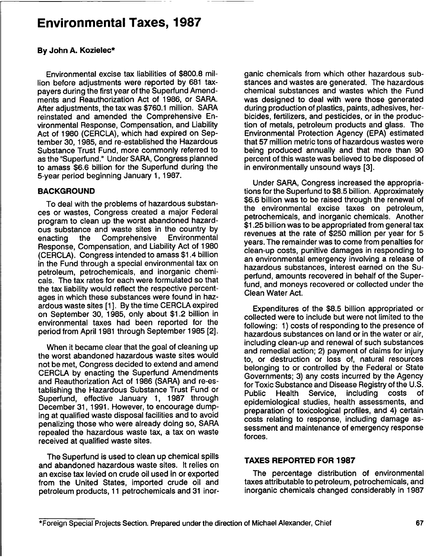## Environmental Taxes, **1987**

#### **By** John **A.** Kozielec\*

Environmental excise tax liabilities of **\$800.8** million before adjustments were reported **by 681** taxpayers during the first year of the Superfund Amendments and Reauthorization Act of **1986,** or SARA. After adjustments, the tax was **\$760.1** million. SARA reinstated and amended the Comprehensive Environmental Response, Compensation, and Liability Act of **1980** (CERCLA), which had expired on September **30, 1985,** and re-established the Hazardous Substance Trust Fund, more commonly referred to as the "Superfund." Under SARA, Congress planned to amass **\$6.6** billion for the Superfund during the 5-year period beginning January **1, 1987.**

### **BACKGROUND**

To deal with the problems of hazardous substances or wastes, Congress created a major Federal program to clean up the worst abandoned hazardous substance and waste sites in the country **by** enacting the Comprehensive Response, Compensation, and Liability Act of **1980** (CERCLA). Congress intended to amass \$1.4 billion in the Fund through a special environmental tax on petroleum, petrochemicals, and inorganic chemicals. The tax rates for each were formulated so that the tax liability would reflect the respective percentages in which these substances were found in hazardous waste sites **[1 ]. By** the time CERCLA expired on September **30, 1985,** only about \$1.2 billion in environmental taxes had been reported for the period from April **1981** through September **1985** [2].

When it became clear that the goal of cleaning up the worst abandoned hazardous waste sites would not be met, Congress decided to extend and amend CERCLA **by** enacting the Superfund Amendments and Reauthorization Act of **1986** (SARA) and re-establishing the Hazardous Substance Trust Fund or Superfund, effective January **1, 1987** through December **31, 1991.** However, to encourage dumping at qualified waste disposal facilities and to avoid penalizing those who were already doing so, SARA repealed the hazardous waste tax, a tax on waste received at qualified waste sites.

The Superfund is used to clean up chemical spills and abandoned hazardous waste sites. It relies on an excise tax levied on crude oil used in or exported from the United States, imported crude oil and petroleum products, **<sup>11</sup>** petrochemicals and **31** inorganic chemicals from which other hazardous substances and wastes are generated. The hazardous chemical substances and wastes which the Fund was designed to deal with were those generated during production of plastics, paints, adhesives, herbicides, fertilizers, and pesticides, or in the production of metals, petroleum products and glass. The Environmental Protection Agency **(EPA)** estimated that **57** million metric tons of hazardous wastes were being produced annually and that more than **90** percent of this waste was believed to be disposed of in environmentally unsound ways **[3].**

Under SARA, Congress increased the appropriations for the Superfund to **\$8.5** billion. Approximately **\$6.6** billion was to be raised through the renewal of the environmental excise taxes on petroleum, petrochemicals, and inorganic chemicals. Another **\$1.25** billion was to be appropriated from general tax revenues at the rate of **\$250** million per year for **5** years. The remainder was to come from penalties for clean-up costs, punitive damages in responding to an environmental emergency involving a release of hazardous substances, interest earned on the Superfund, amounts recovered in behalf of the Superfund, and moneys recovered or collected under the Clean Water Act.

Expenditures of the **\$8.5** billion appropriated or collected were to include but were not limited to the following: **1)** costs of responding to the presence of hazardous substances on land or in the water or air, including clean-up and renewal of such substances and remedial action; 2) payment of claims for injury to, or destruction or loss of, natural resources belonging to or controlled **by** the Federal or State Governments; **3)** any costs incurred **by** the Agency for Toxic Substance and Disease Registry of the **U.S.** Public Health Service, including costs of epidemiological studies, health assessments, and preparation of toxicological profiles, and 4) certain costs relating to response, including damage assessment and maintenance of emergency response forces.

### **TAXES** REPORTED FOR **1987**

The percentage distribution of environmental taxes attributable to petroleum, petrochemicals, and inorganic chemicals changed considerably in **1987**

<sup>\*</sup>Foreign Special Projects Section. Prepared under the direction of Michael Alexander, Chief **67**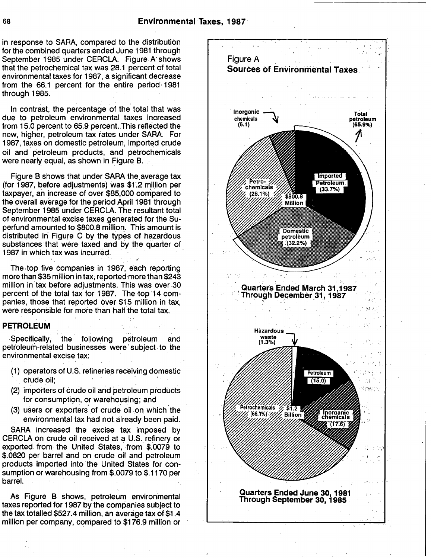in response to SARA, compared to the distribution for the combined quarters ended June **1981** through September **1985** under CERCLA. Figure A' shows that the petrochemical tax was **28.1** percent of total environmental taxes for **1987,** a significant decrease from the **66.1** percent for the entire period, **1981** through **1985.**

In contrast, the perc entage of the total that was **'**due to petroleum environmental taxes increasari from 15.0 percent to 65.9 percent. This reflected the new, higher, petroleum tax rates under SARA. For **1987,** taxes on domestic petroleum, imported crude oil and Petroleum products, and petrochemicals were nearly equal, as shown in Figure. B. **-**

Figure B shows that under SARA the average tax (for 1987, before adjustments) was \$1.2 million per taxpayer, an increase of over \$85,000 compared to the overall average for the period April **1981** through September **1985** under CERCLA. The resultant total of environmental excise taxes generated for the Superfund amounted to **\$800.8** million. This amount is distributed in Figure **C by** the types of hazardous substances that were taxed and by the quarter of **1987 in which tax was incurred.** 

The,top five companies in **1987,** each reporting more than **\$35** million in tax, reported,more than \$243 million in tax before adjustments. This was over **30** percent of the total tax for 1987. The top 14 companies, those that reported over **\$15** million in tax, were responsible for more than half the total tax.

#### PETROLEUM

Specifically; the following petroleum and petroleum-related businesses were subject to the environmental excise tax:

- **(1)** operators of **U.S.** refineries receiving domestic crude-oil;
- (2) importers of crude oil and petroleum products for consumption, or warehousing; and
- **(3)** users or, exporters.of crude oil,on, which the environmental tax had not. already been paid.

SARA increased the excise tax imposed **by** CERCLA on crude oil received at **a U.S..** refinery or exported from. the United States, from **\$.0079,** to **\$.0820** per barrel and on crude oil and petroleum products imported into the United States for consumption or warehousing from **\$.0079** to **\$.1170** per barrel.

As Figure B shows, petroleum environmental taxes reported for **1987 by** the companies subject to the tax totalled \$527.4 million, an average tax of \$1.4 million per company, compared to **\$176.9** million or

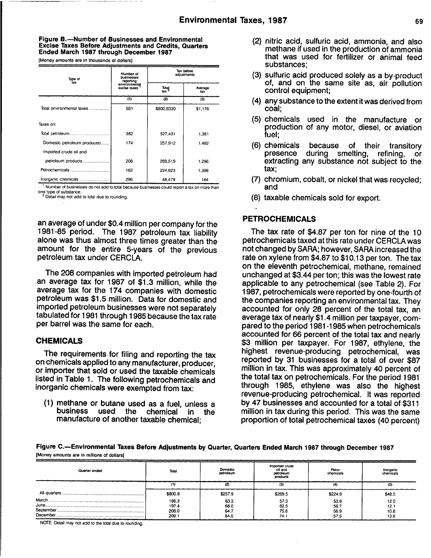#### Figure B.-Number of Businesses and Environmental Excise Taxes Before Adjustments and Credits, Quarters Ended March **1987** through December **1987**

[Money amounts are in thousands of dollars]

| Type of                     | Number of<br>businesses<br>reporting | Tax before<br>adjustments |                |  |
|-----------------------------|--------------------------------------|---------------------------|----------------|--|
| tax                         | environmental<br>excise taxes        | Total<br>tax              | Average<br>tax |  |
|                             | (1)                                  | (2)                       | (3)            |  |
| Total environmental taxes   | 681                                  | \$800,8330                | \$1,176        |  |
| Taxes on:                   |                                      |                           |                |  |
|                             | 382                                  | 527,431                   | 1,381          |  |
| Domestic petroleum produced | 174                                  | 257.912                   | 1,482          |  |
| Imported crude oil and      |                                      |                           |                |  |
| petroleum products          | 208                                  | 269,519                   | 1,296          |  |
|                             | 162                                  | 224,923                   | 1.388          |  |
| Inorganic chemicals         | 296                                  | 48.479                    | 164            |  |

**<sup>1</sup>** Number of businesses do not add to total because businesses could report a tax on more than National consideration of substance.<br>
2 Detail may not add to total due to rounding.

an average of under \$0.4 million per company for the **1981-85** period. The **1987** petroleum tax liability alone was thus almost three times greater than the amount for the entire 5-years of the previous petroleum tax under CERCLA.

The **208** companies with imported petroleum had an average tax for **1987** of **\$1.3** million, while the average tax for the 174 companies with domestic petroleum was **\$1.5** million. Data for domestic and imported petroleum businesses were not separately tabulated for **1981** through **1985** because thetax rate per barrel was the same for each.

### **CHEMICALS**

The requirements for filing and reporting the tax on chemicals applied to any manufacturer, producer, or importer that sold or used the taxable chemicals listed in Table **1.** The following petrochemicals and inorganic chemicals were exempted from tax:

**(1)** methane or butane used as <sup>a</sup> fuel, unless a chemical in the manufacture of another taxable chemical;

- (2) nitric acid, sulfuric acid, ammonia, and also methane if used in the production of ammonia that was used for fertilizer or animal feed substances;
- **(3)** sulfuric acid produced solely as a by-product of, and on the same site as, air pollution control equipment;
- (4) any substance to the extent it was derived from coal;
- **(5)** chemicals used in the manufacture or production of any motor, diesel, or aviation fuel;
- **(6)** chemicals because of their transitory presence during smelting, refining, or extracting any substance not subject to the tax;
- **(7)** chromium, cobalt, or nickel that was recycled; and
- **(8)** taxable chemicals sold for export.

#### PETROCHEMICALS

The tax rate of **\$4.87** per ton for nine of the **10** petrochemicals taxed at this rate under CERCLA was not changed **by** SARA; however, SARA increased the rate on xylene from **\$4.87** to **\$10.13** per ton. The tax on the eleventh petrochemical, methane, remained unchanged at \$3.44 per ton; this was the lowest rate applicable to any petrochemical (see Table 2). For **1987,** petrochemicals were reported **by** one-fourth of the companies reporting an environmental tax. They accounted for only **28** percent of the total tax, an average tax of nearly \$1.4 million per taxpayer, compared to the period **1981-1985** when petrochemicals accounted for **66** percent of the total tax and nearly **\$3** million per taxpayer. For **1987,** ethylene, the highest revenue-producing petrochemical, was reported **by 31** businesses for a total of over **\$87** million in tax. This was approximately 40 percent of the total tax on petrochemicals. For the period **1981** through **1985,** ethylene was also the highest revenue-producing petrochemical. It was reported **by** 47 businesses and accounted for a total of **\$311** million in tax during this period. This was the same proportion of total petrochemical taxes (40 percent)

Figure C.-Environmental Taxes Before Adjustments **by** Quarter, Quarters Ended March **<sup>1987</sup>** through December **1987** [Money amounts are in millions of dollars]

| Quarter ended | Total                            | Domestic<br>petroleum        | Imported crude<br>oil and<br>petroleum<br>products | Petro-<br>chemicals          | Inorganic<br>chemicals       |
|---------------|----------------------------------|------------------------------|----------------------------------------------------|------------------------------|------------------------------|
|               |                                  |                              | (3)                                                |                              | (5)                          |
|               | \$800.8                          | \$257.9                      | \$269.5                                            | \$224.9                      | \$48.5                       |
|               | 186.3<br>197.4<br>208.0<br>209.1 | 63.3<br>66.0<br>64.7<br>64.0 | 57.3<br>62.5<br>75.6<br>74.1                       | 53.8<br>56.7<br>56.9<br>57.5 | 12.0<br>12.1<br>10.8<br>13.6 |

NOTE: Detail may not add to the total due to rounding.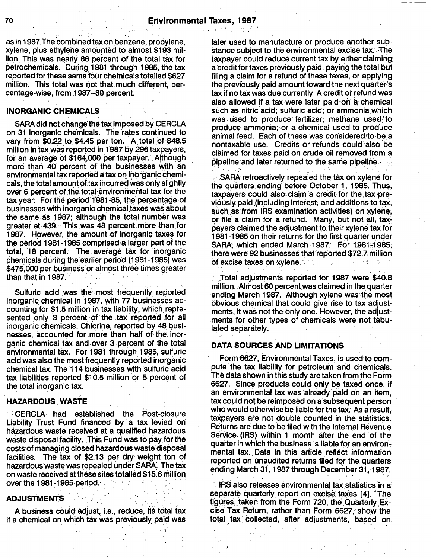as in 1987.The combined tax on benzene, propylene, xylene, plus ethylene amounted to almost, **\$193** million. This was.ne.arly **86** percent of**.** the total tax for petrochemicals. During **1981** through'l **985,** the tax reported for these same four chemicals totalled **\$627** million. This total was not that much different, percentage-wise, from.1 **987--80** percent. **,**

### **INORGANIC CHEMICALS**

SARA did not change the tax imposed by CERCLA on 31 inorganic chemicals. The rates continued to vary from  $$0.22$  to  $$4.45$  per ton. A total of  $$48.5$ million in tax,was'reported in.1\*987 **by 296** taxpayers, for an average of \$164,000 per taxpayer. Although more than 40 percent of the businesses with an environmental tax reported a tax on inorganic chemi-<br>
cals, the total amount of tax incurred was only slightly<br>
the quarters ending before October 1, 1985. Thus cais, the total amount of tax incurred was only slightly either quarters, ending 'before October 1, 1985. Thus,<br>over 6 percent of the total environmental tax for the the theoretic could also claim a credit for the tax pretax year. For the period 1981-85, the percentage of<br>businesses with inorganic chemical taxes was about<br>the same as 1987; although the total number was<br>or tile a claim for a refund. Many but not all taxgreater at 439. This was 48 percent more than for **1987.** However, the amount of inorganic taxes for the period 1981-1985 comprised a larger part of the the period **1981-1985** comprised a larger part of the SARA, which ended March, 1987. For 1981-1985,<br>total, 18 percent. The average tax for inorganic there were 92 businesses that reported \$72.7 million 6hemicals during the earlier period (1981-1985) was \$475,000 per business or almost three times greater<br>than that in 1987.

inorganic chemical in 1987, with *17* businesses ac-<br>counting for \$1.5 million in tax liability, which repre-<br>ments it was not the only one. However, the adjustcounting for \$1.5 million in tax liability, which repre-<br>sented only 3 percent of the tax reported for all<br>ments for other types of chemicals were not table. inorganic chemicals. Chlorine, reported by 48 businesses, accounted for more than half of the inorganic chemical tax and over 3 percent of the total **DATA SOURCES AND LIMITATIONS** environmental tax. For 1981 through 1985, sulfuric acid was also the most frequently reported inorganic chemical tax. The 114 businesses with sulfuric acid pute the tax liability for petroleum and chemicals.<br>tax liabilities reported \$10.5 million or 5 percent of The data shown in this study are taken from the Form tax liabilities reported \$10.5 million or 5 percent of the total inorganic tax. **6627.** Since products could only be taxed once, if

CERCLA had established the Post-closure Liability Trust Fund financed **by** a tax levied on hazardous waste received at a qualified hazardous<br>waste disposal facility. This Fund was to pay for the<br>experience in which the business is light for an internal Revenue waste disposal facility. This Fully was to pay for the quarter in which the business is liable for an environ-<br>costs of managing closed hazardous waste disposal mental tax. Data in this article reflect information<br>faciliti ived at these sites totalled \$15 6 **. I** over the 1981-1985 period.

#### **ADJUSTMENTS.**

A business could adjust, i.e., reduce, its total tax if a chemical on which tax was previously paid was

later used to manufacture or produce another substance subject to the environmental excise tax. The taxpayer could reduce current tax by either claiming a credit for taxes previously paid, paying the total but filing a claim for a refund of these taxes, or applying the previously paid amount toward the next quarter's tax if no tax was due currently. A credit or refund was also allowed if a tax were later paid on a chemical such as nitric acid; sulfuric acid; or ammonia which was used to produce fertilizer; methane used to produce ammonia; or a chemical used to produce animal feed. Each of these was considered to be a nontaxable use. Credits or refunds could also be claimed for taxes paid on crude oil removed from a pipeline and later returned to the same pipeline.

taxpayers could also claim a credit for the tax preor file a claim for a refund. Many, but not all, tax-<br>pavers claimed the adiustment to their xylene tax for **1 81-1985** on their returns for~the first quarter under there were 92 businesses that reported \$72.7 million<br>of excise taxes on xylene.

Total adjustments reported for 1987 were \$40.8 million. Almost 60 percent was claimed in the quarter Sulfuric acid was the most frequently reported<br>in the most ending March 1987. Although xylene was the most<br>inorganic chemical in 1987, with 77 businesses ac-<br>obvious chemical that could give rise to tax adjustments for other types of chemicals were not tabu-<br>lated separately.

Form 6627, Environmental Taxes, is used to com-<br>pute the tax liability for petroleum and chemicals. an environmental tax was already paid on an item, **HAZARDOUS** WASTE<br>who would otherwise be liable for the tax. As a result. taxpayers are not double counted in the statistics.<br>Returns are due to be filed with the Internal Revenue **an** ending March **31, 1987** through December **31,1987.**

> IRS also releases environmental tax statistics in,a' separate quarterly report on excise taxes [4]: The figures, taken from the Form 720, the Quarterly Excise Tax Return, rather than Form 6627, show the **'**total, tax' collected, after adjustments, based on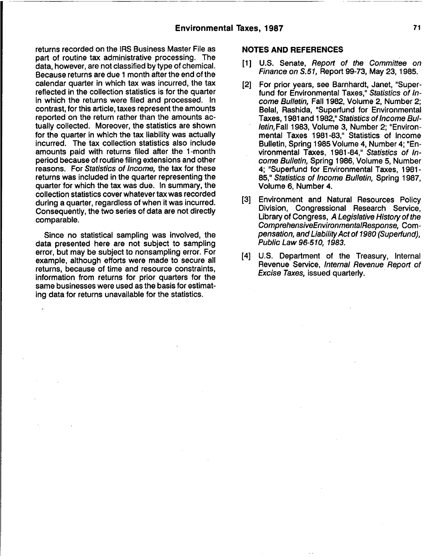returns recorded on the IRS Business Master File as part of routine tax administrative processing. The data, however, are not classified **by** type of chemical. Because returns are due **<sup>1</sup>** month after the end of the calendar quarter in which tax was incurred, the tax reflected in the collection statistics is for the quarter in which the returns were filed and processed. In contrast, for this article, taxes represent the amounts reported on the return rather than the amounts actually collected. Moreover, the statistics are shown for the quarter in which the tax liability was actually incurred. The tax collection statistics also include amounts paid with returns filed after the <sup>1</sup> -month period because of routine filing extensions and other reasons. For Statistics of Income, the tax for these returns was included in the quarter representing the quarter for which the tax was due. In summary, the collection statistics cover whatever tax was recorded during a quarter, regardless of when it was incurred. Consequently, the two series of data are not directly comparable.

Since no statistical sampling was involved, the data presented here are not subject to sampling error, but may be subject to nonsampling error. For example, although efforts were made to secure all returns, because of time and resource constraints, information from returns for prior quarters for the same businesses were used as the basis for estimating data for returns unavailable for the statistics.

#### **NOTES AND REFERENCES**

- **Ill U.S.** Senate, Report of the Committee on Finance on **S.51,** Report **99-73,** May **23,1985.**
- [2] For prior years, see Barnhardt, Janet, "Superfund for Environmental Taxes," Statistics of Income Bulletin, Fall **1982,** Volume 2, Number 2; Belal, Rashida, "Superfund for Environmental Taxes, **1981** and **1982,"** Statistics of Income BulletinFall **1983,** Volume **3,** Number 2; "Environmental Taxes **1981-83,"** Statistics of Income Bulletin, Spring **1985** Volume 4, Number 4; "Environmental Taxes, **1981-84,"** Statistics of Income Bulletin, Spring **1986,** Volume **5,** Number 4; "Superfund for Environmental Taxes, **1981 - 85,"** Statistics of Income Bulletin, Spring **1987,** Volume **6,** Number 4.
- **[3]** Environment and Natural Resources Policy Division, Congressional Research Service, Library of Congress, A Legislative History of the ComprehensiveEnvironmentalResponse, Compensation, and LiabilityAct of **1980** (Superfund), Public Law **96-510, 1983.**
- [4] **U.S.** Department of th e Treasury, Internal **'** Revenue Service, Internal Revenue Report of Excise Taxes, issued quarterly.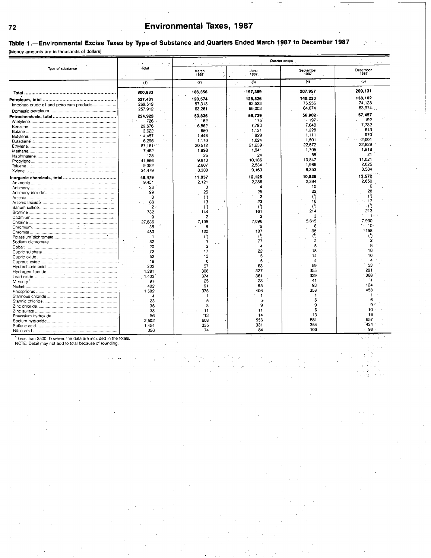## **<sup>72</sup>** Environmental Taxes, **1987**

Table 1.-Environmental Excise Taxes by Type of Substance and Quarters Ended March 1987 to December 1987 [Money amounts are in thousands of dollars]

| Type of substance                         |                           |                 |                 | Quarter ended     |                        |
|-------------------------------------------|---------------------------|-----------------|-----------------|-------------------|------------------------|
|                                           | Total                     | March<br>1987   | June<br>1987    | September<br>1987 | December<br>1987       |
|                                           | (1)                       | (2)             | (3)             | (4)               | (5)                    |
|                                           | 800.833                   | 186,356         | 197,389         | 207.957           | 209,131                |
|                                           | 527,431                   | 120.574         | 128.526         | 140,230           | 138,102                |
| Imported crude oil and petroleum products | 269,519                   | 57.313          | 62.523          | 75,556            | 74.128                 |
|                                           | 257.912                   | 63.261          | 66,003          | 64,674            | $.63,974$ .            |
|                                           |                           | 53.836          | 56.739          | 56,902            | 57.457                 |
|                                           | 224,923<br>726            | 162             | 175             | $-197$            | 192                    |
|                                           | 29.676                    | 6.862           | 7.793           | 7.648             | 7,732                  |
|                                           | 3.622                     | 650             | 1.131           | 1,228             | 613                    |
|                                           | .4.457                    | 1.448           | 929             | 1,111             | 970                    |
|                                           | 6,296                     | 1.170           | 1.624           | 1.501             | $-2.001$               |
|                                           | 87.161                    | 20.512          | 21,239          | 22,572            | 22.839                 |
|                                           | 7.462                     | 1.998           | 1.941           | 1.705             | 1.818                  |
|                                           | 125                       | 25              | 24              | 55                | $21 -$                 |
|                                           | 41.566                    | 9.813           | 10.186          | 10.547            | 11,021                 |
|                                           | 9.352                     | 2.807           | 2.534           | 1,986             | 2.025                  |
|                                           | 34,479                    | 8.380           | 9.163           | 8,353             | 8.584                  |
|                                           |                           |                 |                 |                   |                        |
|                                           | 48,479<br>9.451           | 11.957<br>2.121 | 12.125<br>2,286 | 10,826<br>2.394   | 13.572<br>2.650        |
|                                           | 23<br>$\epsilon_{\rm in}$ | з               | Δ               | 10                |                        |
|                                           | 99                        | 25              | 25              | 22                | 28                     |
|                                           | 3                         |                 | $\cdot$ 2       | $^{\prime}$       | $^{\prime}$            |
|                                           | 68                        | 13              | 23              | 16                | 17                     |
|                                           | $2 \cdot$                 |                 | $^{\prime}$     | (1)               |                        |
|                                           | 732                       | 144             | 161             | 214               | 213                    |
|                                           | 9                         | 2               |                 | 3                 |                        |
|                                           | 27.836                    | 7.195           | 7.096           | 5,615             | 7.930                  |
|                                           | 35                        | 9               | 9               | я                 | 10                     |
|                                           | 480                       | 120             | 107             | 95                | 158                    |
|                                           | $\overline{1}$            |                 |                 |                   |                        |
|                                           | 82                        |                 | 77              | 2                 |                        |
|                                           | 20                        | з               | $\Delta$        | 5                 |                        |
|                                           | 72                        | 17              | 22              | 18                | 16                     |
|                                           | 52                        | 13              | 15              | 14                |                        |
|                                           | 19                        | 6               | 5               | $\overline{A}$    | $\boldsymbol{\Lambda}$ |
|                                           | 232                       | 57              | 63              | 59                | 53                     |
|                                           | 1,281                     | 308             | 327             | 355               | 291                    |
|                                           | 1.433                     | 374             | 361             | 329               | 368                    |
|                                           | 91                        | 25              | 23              | 41                |                        |
|                                           | 402                       | 91              | 95              | 93                | 124                    |
|                                           | 1.592                     | 375             | 406             | 358               | 453                    |
|                                           | 4                         |                 |                 |                   |                        |
|                                           | 23                        |                 |                 |                   |                        |
|                                           | 35                        |                 | o               |                   |                        |
|                                           | 38                        | 11              | 11              |                   | 10                     |
|                                           | 56                        | 13              | 14              | .13               | 16                     |
|                                           | 2.502                     | 608             | 556             | 681               | 657                    |
|                                           | 1.454                     | 335             | 331             | 354               | 434                    |
|                                           | 356                       | 74              | 84              | 100               | 98                     |

**'** Less than **\$500.** however, the data are included in the totals. **NOTE:** Detail may not add to total because of rounding.

 $\omega^{\prime}$